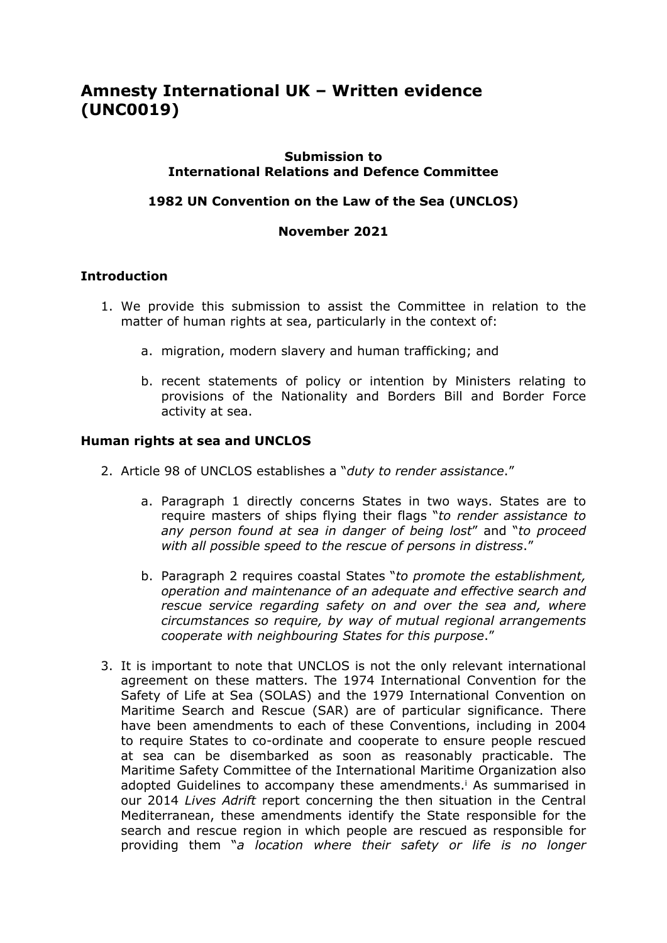# **Amnesty International UK – Written evidence (UNC0019)**

## **Submission to International Relations and Defence Committee**

# **1982 UN Convention on the Law of the Sea (UNCLOS)**

## **November 2021**

## **Introduction**

- 1. We provide this submission to assist the Committee in relation to the matter of human rights at sea, particularly in the context of:
	- a. migration, modern slavery and human trafficking; and
	- b. recent statements of policy or intention by Ministers relating to provisions of the Nationality and Borders Bill and Border Force activity at sea.

#### **Human rights at sea and UNCLOS**

- 2. Article 98 of UNCLOS establishes a "*duty to render assistance*."
	- a. Paragraph 1 directly concerns States in two ways. States are to require masters of ships flying their flags "*to render assistance to any person found at sea in danger of being lost*" and "*to proceed with all possible speed to the rescue of persons in distress*."
	- b. Paragraph 2 requires coastal States "*to promote the establishment, operation and maintenance of an adequate and effective search and rescue service regarding safety on and over the sea and, where circumstances so require, by way of mutual regional arrangements cooperate with neighbouring States for this purpose*."
- 3. It is important to note that UNCLOS is not the only relevant international agreement on these matters. The 1974 International Convention for the Safety of Life at Sea (SOLAS) and the 1979 International Convention on Maritime Search and Rescue (SAR) are of particular significance. There have been amendments to each of these Conventions, including in 2004 to require States to co-ordinate and cooperate to ensure people rescued at sea can be disembarked as soon as reasonably practicable. The Maritime Safety Committee of the International Maritime Organization also adopted Guidelines to accompany these amendments.<sup>*i*</sup> As summarised in our 2014 *Lives Adrift* report concerning the then situation in the Central Mediterranean, these amendments identify the State responsible for the search and rescue region in which people are rescued as responsible for providing them "*a location where their safety or life is no longer*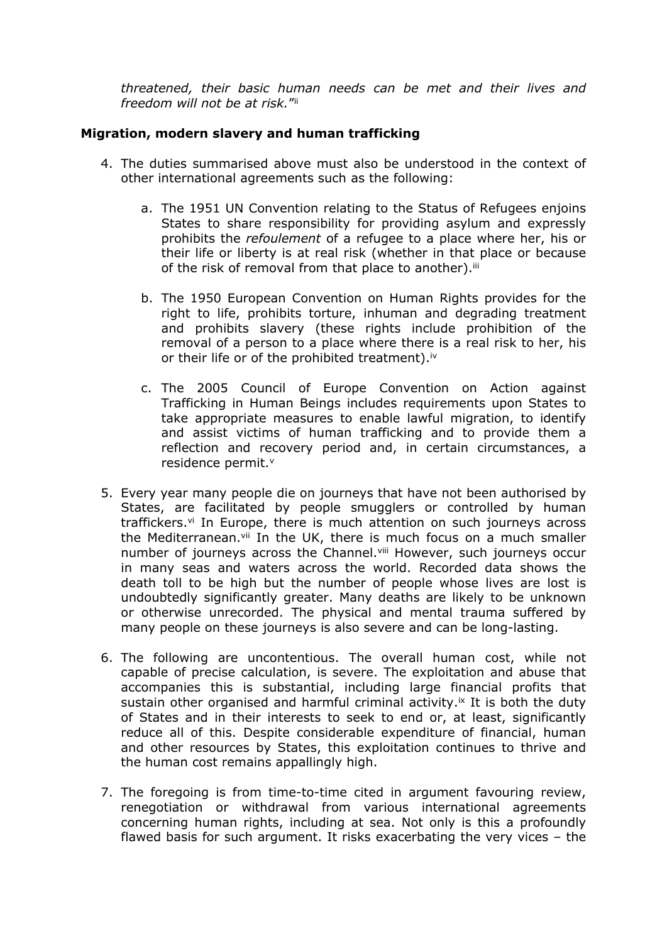*threatened, their basic human needs can be met and their lives and freedom will not be at risk.*" ii

## **Migration, modern slavery and human trafficking**

- 4. The duties summarised above must also be understood in the context of other international agreements such as the following:
	- a. The 1951 UN Convention relating to the Status of Refugees enjoins States to share responsibility for providing asylum and expressly prohibits the *refoulement* of a refugee to a place where her, his or their life or liberty is at real risk (whether in that place or because of the risk of removal from that place to another).<sup>iii</sup>
	- b. The 1950 European Convention on Human Rights provides for the right to life, prohibits torture, inhuman and degrading treatment and prohibits slavery (these rights include prohibition of the removal of a person to a place where there is a real risk to her, his or their life or of the prohibited treatment).<sup>iv</sup>
	- c. The 2005 Council of Europe Convention on Action against Trafficking in Human Beings includes requirements upon States to take appropriate measures to enable lawful migration, to identify and assist victims of human trafficking and to provide them a reflection and recovery period and, in certain circumstances, a residence permit.<sup>v</sup>
- 5. Every year many people die on journeys that have not been authorised by States, are facilitated by people smugglers or controlled by human traffickers.<sup>vi</sup> In Europe, there is much attention on such journeys across the Mediterranean.vii In the UK, there is much focus on a much smaller number of journeys across the Channel. Vili However, such journeys occur in many seas and waters across the world. Recorded data shows the death toll to be high but the number of people whose lives are lost is undoubtedly significantly greater. Many deaths are likely to be unknown or otherwise unrecorded. The physical and mental trauma suffered by many people on these journeys is also severe and can be long-lasting.
- 6. The following are uncontentious. The overall human cost, while not capable of precise calculation, is severe. The exploitation and abuse that accompanies this is substantial, including large financial profits that sustain other organised and harmful criminal activity.<sup>ix</sup> It is both the duty of States and in their interests to seek to end or, at least, significantly reduce all of this. Despite considerable expenditure of financial, human and other resources by States, this exploitation continues to thrive and the human cost remains appallingly high.
- 7. The foregoing is from time-to-time cited in argument favouring review, renegotiation or withdrawal from various international agreements concerning human rights, including at sea. Not only is this a profoundly flawed basis for such argument. It risks exacerbating the very vices – the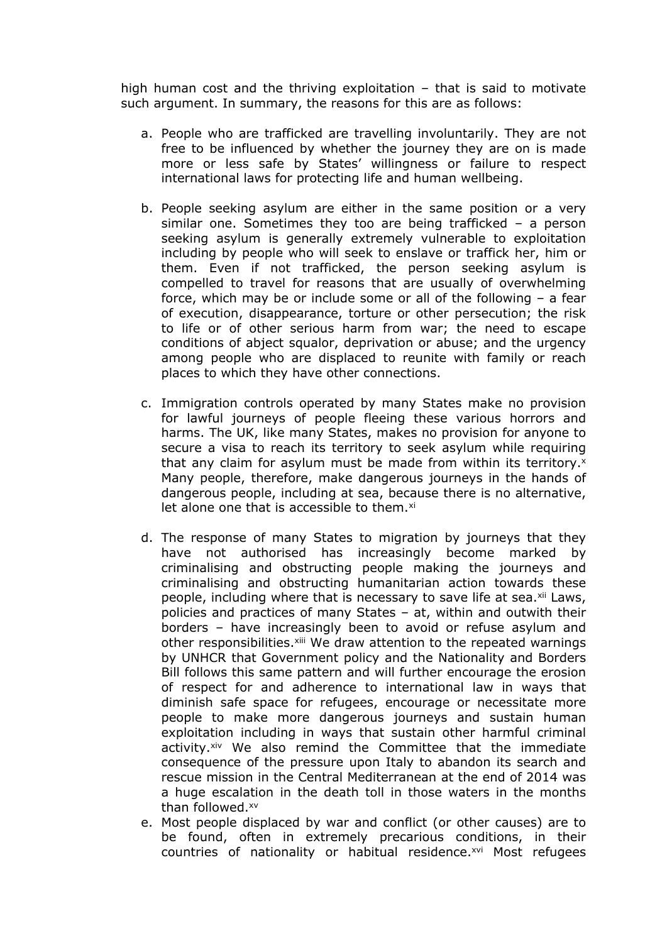high human cost and the thriving exploitation – that is said to motivate such argument. In summary, the reasons for this are as follows:

- a. People who are trafficked are travelling involuntarily. They are not free to be influenced by whether the journey they are on is made more or less safe by States' willingness or failure to respect international laws for protecting life and human wellbeing.
- b. People seeking asylum are either in the same position or a very similar one. Sometimes they too are being trafficked – a person seeking asylum is generally extremely vulnerable to exploitation including by people who will seek to enslave or traffick her, him or them. Even if not trafficked, the person seeking asylum is compelled to travel for reasons that are usually of overwhelming force, which may be or include some or all of the following – a fear of execution, disappearance, torture or other persecution; the risk to life or of other serious harm from war; the need to escape conditions of abject squalor, deprivation or abuse; and the urgency among people who are displaced to reunite with family or reach places to which they have other connections.
- c. Immigration controls operated by many States make no provision for lawful journeys of people fleeing these various horrors and harms. The UK, like many States, makes no provision for anyone to secure a visa to reach its territory to seek asylum while requiring that any claim for asylum must be made from within its territory.<sup>x</sup> Many people, therefore, make dangerous journeys in the hands of dangerous people, including at sea, because there is no alternative, let alone one that is accessible to them.<sup>xi</sup>
- d. The response of many States to migration by journeys that they have not authorised has increasingly become marked by criminalising and obstructing people making the journeys and criminalising and obstructing humanitarian action towards these people, including where that is necessary to save life at sea.xii Laws, policies and practices of many States – at, within and outwith their borders – have increasingly been to avoid or refuse asylum and other responsibilities.<sup>xiii</sup> We draw attention to the repeated warnings by UNHCR that Government policy and the Nationality and Borders Bill follows this same pattern and will further encourage the erosion of respect for and adherence to international law in ways that diminish safe space for refugees, encourage or necessitate more people to make more dangerous journeys and sustain human exploitation including in ways that sustain other harmful criminal activity.<sup>xiv</sup> We also remind the Committee that the immediate consequence of the pressure upon Italy to abandon its search and rescue mission in the Central Mediterranean at the end of 2014 was a huge escalation in the death toll in those waters in the months than followed.xv
- e. Most people displaced by war and conflict (or other causes) are to be found, often in extremely precarious conditions, in their countries of nationality or habitual residence.<sup>xvi</sup> Most refugees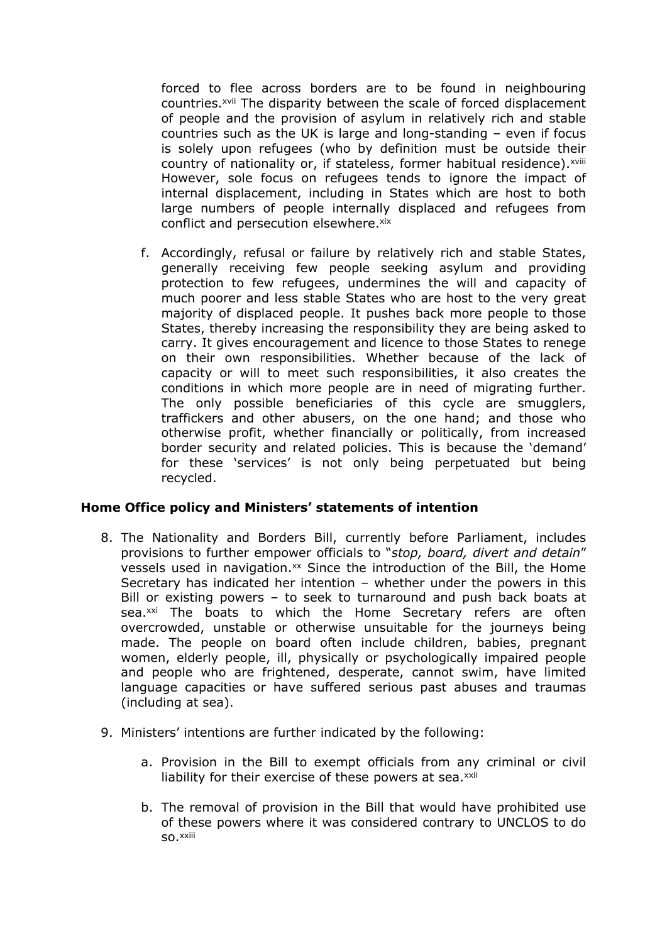forced to flee across borders are to be found in neighbouring countries.<sup>xvii</sup> The disparity between the scale of forced displacement of people and the provision of asylum in relatively rich and stable countries such as the UK is large and long-standing – even if focus is solely upon refugees (who by definition must be outside their country of nationality or, if stateless, former habitual residence). *xviii* However, sole focus on refugees tends to ignore the impact of internal displacement, including in States which are host to both large numbers of people internally displaced and refugees from conflict and persecution elsewhere.xix

f. Accordingly, refusal or failure by relatively rich and stable States, generally receiving few people seeking asylum and providing protection to few refugees, undermines the will and capacity of much poorer and less stable States who are host to the very great majority of displaced people. It pushes back more people to those States, thereby increasing the responsibility they are being asked to carry. It gives encouragement and licence to those States to renege on their own responsibilities. Whether because of the lack of capacity or will to meet such responsibilities, it also creates the conditions in which more people are in need of migrating further. The only possible beneficiaries of this cycle are smugglers, traffickers and other abusers, on the one hand; and those who otherwise profit, whether financially or politically, from increased border security and related policies. This is because the 'demand' for these 'services' is not only being perpetuated but being recycled.

# **Home Office policy and Ministers' statements of intention**

- 8. The Nationality and Borders Bill, currently before Parliament, includes provisions to further empower officials to "*stop, board, divert and detain*" vessels used in navigation.<sup>xx</sup> Since the introduction of the Bill, the Home Secretary has indicated her intention – whether under the powers in this Bill or existing powers – to seek to turnaround and push back boats at sea.<sup>xxi</sup> The boats to which the Home Secretary refers are often overcrowded, unstable or otherwise unsuitable for the journeys being made. The people on board often include children, babies, pregnant women, elderly people, ill, physically or psychologically impaired people and people who are frightened, desperate, cannot swim, have limited language capacities or have suffered serious past abuses and traumas (including at sea).
- 9. Ministers' intentions are further indicated by the following:
	- a. Provision in the Bill to exempt officials from any criminal or civil liability for their exercise of these powers at sea.xxii
	- b. The removal of provision in the Bill that would have prohibited use of these powers where it was considered contrary to UNCLOS to do so.xxiii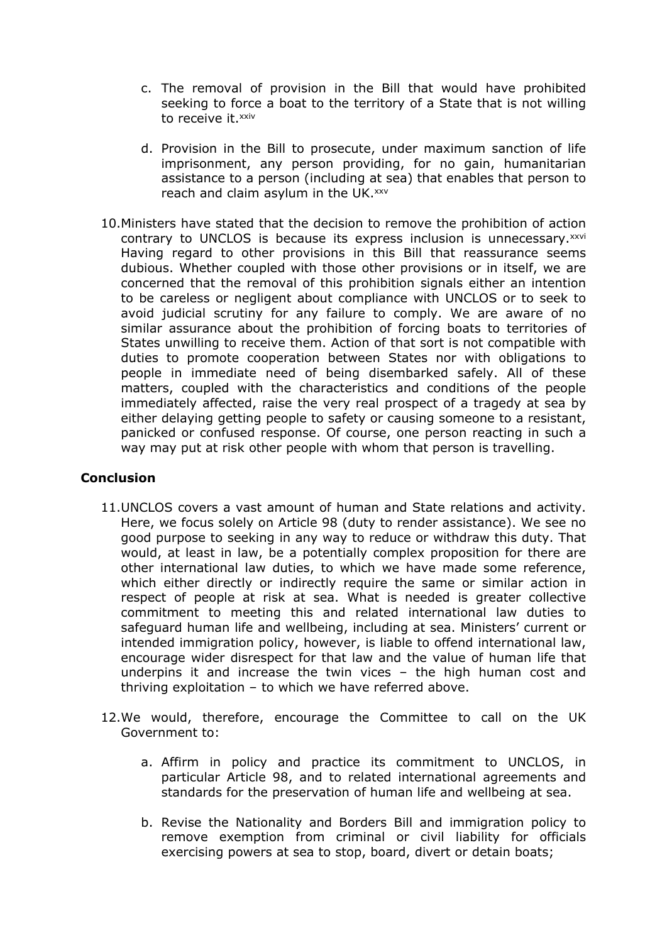- c. The removal of provision in the Bill that would have prohibited seeking to force a boat to the territory of a State that is not willing to receive it.xxiv
- d. Provision in the Bill to prosecute, under maximum sanction of life imprisonment, any person providing, for no gain, humanitarian assistance to a person (including at sea) that enables that person to reach and claim asylum in the UK.<sup>xxv</sup>
- 10.Ministers have stated that the decision to remove the prohibition of action contrary to UNCLOS is because its express inclusion is unnecessary. XXVI Having regard to other provisions in this Bill that reassurance seems dubious. Whether coupled with those other provisions or in itself, we are concerned that the removal of this prohibition signals either an intention to be careless or negligent about compliance with UNCLOS or to seek to avoid judicial scrutiny for any failure to comply. We are aware of no similar assurance about the prohibition of forcing boats to territories of States unwilling to receive them. Action of that sort is not compatible with duties to promote cooperation between States nor with obligations to people in immediate need of being disembarked safely. All of these matters, coupled with the characteristics and conditions of the people immediately affected, raise the very real prospect of a tragedy at sea by either delaying getting people to safety or causing someone to a resistant, panicked or confused response. Of course, one person reacting in such a way may put at risk other people with whom that person is travelling.

# **Conclusion**

- 11.UNCLOS covers a vast amount of human and State relations and activity. Here, we focus solely on Article 98 (duty to render assistance). We see no good purpose to seeking in any way to reduce or withdraw this duty. That would, at least in law, be a potentially complex proposition for there are other international law duties, to which we have made some reference, which either directly or indirectly require the same or similar action in respect of people at risk at sea. What is needed is greater collective commitment to meeting this and related international law duties to safeguard human life and wellbeing, including at sea. Ministers' current or intended immigration policy, however, is liable to offend international law, encourage wider disrespect for that law and the value of human life that underpins it and increase the twin vices – the high human cost and thriving exploitation – to which we have referred above.
- 12.We would, therefore, encourage the Committee to call on the UK Government to:
	- a. Affirm in policy and practice its commitment to UNCLOS, in particular Article 98, and to related international agreements and standards for the preservation of human life and wellbeing at sea.
	- b. Revise the Nationality and Borders Bill and immigration policy to remove exemption from criminal or civil liability for officials exercising powers at sea to stop, board, divert or detain boats;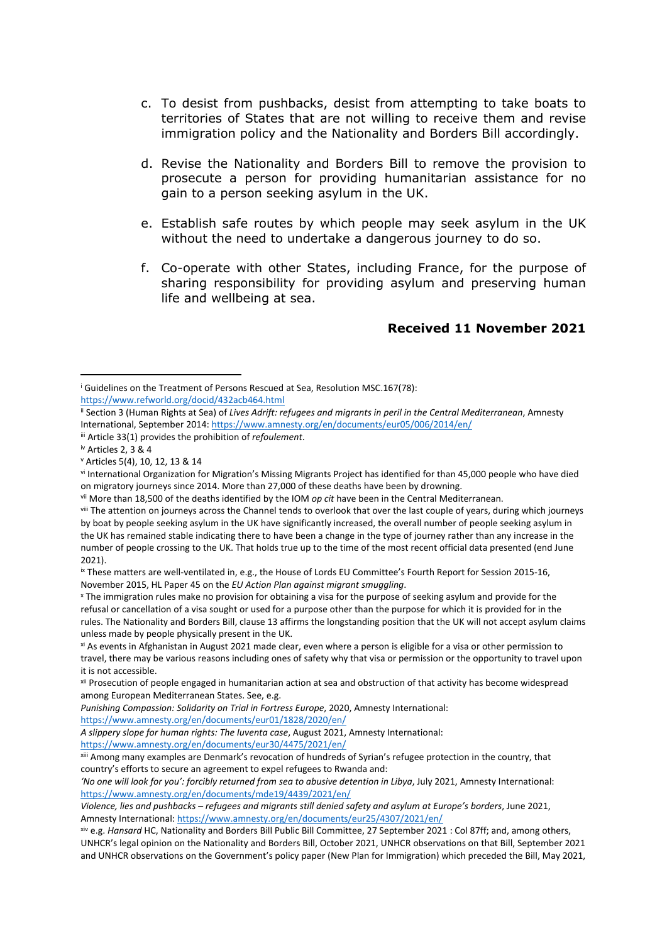- c. To desist from pushbacks, desist from attempting to take boats to territories of States that are not willing to receive them and revise immigration policy and the Nationality and Borders Bill accordingly.
- d. Revise the Nationality and Borders Bill to remove the provision to prosecute a person for providing humanitarian assistance for no gain to a person seeking asylum in the UK.
- e. Establish safe routes by which people may seek asylum in the UK without the need to undertake a dangerous journey to do so.
- f. Co-operate with other States, including France, for the purpose of sharing responsibility for providing asylum and preserving human life and wellbeing at sea.

# **Received 11 November 2021**

*Punishing Compassion: Solidarity on Trial in Fortress Europe*, 2020, Amnesty International:

<https://www.amnesty.org/en/documents/eur01/1828/2020/en/>

*A slippery slope for human rights: The Iuventa case*, August 2021, Amnesty International:

<https://www.amnesty.org/en/documents/eur30/4475/2021/en/>

xiii Among many examples are Denmark's revocation of hundreds of Syrian's refugee protection in the country, that country's efforts to secure an agreement to expel refugees to Rwanda and:

*'No one will look for you': forcibly returned from sea to abusive detention in Libya*, July 2021, Amnesty International: <https://www.amnesty.org/en/documents/mde19/4439/2021/en/>

<sup>&</sup>lt;sup>i</sup> Guidelines on the Treatment of Persons Rescued at Sea, Resolution MSC.167(78): <https://www.refworld.org/docid/432acb464.html>

ii Section 3 (Human Rights at Sea) of *Lives Adrift: refugees and migrants in peril in the Central Mediterranean*, Amnesty International, September 2014: <https://www.amnesty.org/en/documents/eur05/006/2014/en/>

iii Article 33(1) provides the prohibition of *refoulement*.

iv Articles 2, 3 & 4

<sup>v</sup> Articles 5(4), 10, 12, 13 & 14

vi International Organization for Migration's Missing Migrants Project has identified for than 45,000 people who have died on migratory journeys since 2014. More than 27,000 of these deaths have been by drowning.

vii More than 18,500 of the deaths identified by the IOM *op cit* have been in the Central Mediterranean.

viii The attention on journeys across the Channel tends to overlook that over the last couple of years, during which journeys by boat by people seeking asylum in the UK have significantly increased, the overall number of people seeking asylum in the UK has remained stable indicating there to have been a change in the type of journey rather than any increase in the number of people crossing to the UK. That holds true up to the time of the most recent official data presented (end June 2021).

ix These matters are well-ventilated in, e.g., the House of Lords EU Committee's Fourth Report for Session 2015-16, November 2015, HL Paper 45 on the *EU Action Plan against migrant smuggling*.

<sup>x</sup> The immigration rules make no provision for obtaining a visa for the purpose of seeking asylum and provide for the refusal or cancellation of a visa sought or used for a purpose other than the purpose for which it is provided for in the rules. The Nationality and Borders Bill, clause 13 affirms the longstanding position that the UK will not accept asylum claims unless made by people physically present in the UK.

xi As events in Afghanistan in August 2021 made clear, even where a person is eligible for a visa or other permission to travel, there may be various reasons including ones of safety why that visa or permission or the opportunity to travel upon it is not accessible.

xii Prosecution of people engaged in humanitarian action at sea and obstruction of that activity has become widespread among European Mediterranean States. See, e.g.

Violence, lies and pushbacks - refugees and migrants still denied safety and asylum at Europe's borders, June 2021, Amnesty International: <https://www.amnesty.org/en/documents/eur25/4307/2021/en/>

xiv e.g. *Hansard* HC, Nationality and Borders Bill Public Bill Committee, 27 September 2021 : Col 87ff; and, among others, UNHCR's legal opinion on the Nationality and Borders Bill, October 2021, UNHCR observations on that Bill, September 2021 and UNHCR observations on the Government's policy paper (New Plan for Immigration) which preceded the Bill, May 2021,